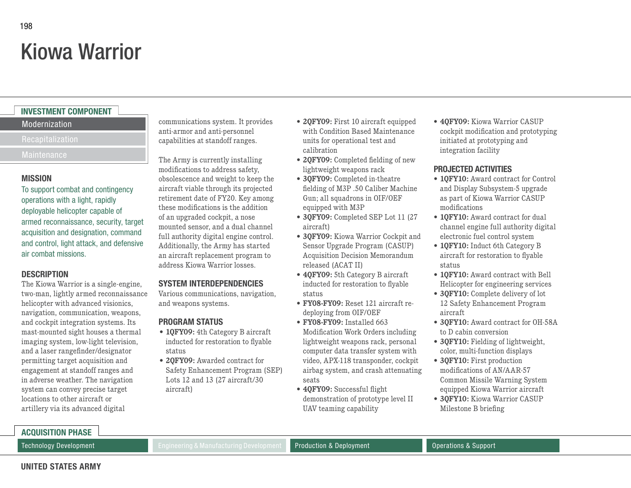# Kiowa Warrior

# **INVESTMENT COMPONENT**

## Modernization

Recapitalization

#### **MISSION**

To support combat and contingency operations with a light, rapidly deployable helicopter capable of armed reconnaissance, security, target acquisition and designation, command and control, light attack, and defensive air combat missions.

## **DESCRIPTION**

The Kiowa Warrior is a single-engine, two-man, lightly armed reconnaissance helicopter with advanced visionics, navigation, communication, weapons, and cockpit integration systems. Its mast-mounted sight houses a thermal imaging system, low-light television, and a laser rangefinder/designator permitting target acquisition and engagement at standoff ranges and in adverse weather. The navigation system can convey precise target locations to other aircraft or artillery via its advanced digital

communications system. It provides anti-armor and anti-personnel capabilities at standoff ranges.

The Army is currently installing modifications to address safety, obsolescence and weight to keep the aircraft viable through its projected retirement date of FY20. Key among these modifications is the addition of an upgraded cockpit, a nose mounted sensor, and a dual channel full authority digital engine control. Additionally, the Army has started an aircraft replacement program to address Kiowa Warrior losses.

# **SYSTEM INTERDEPENDENCIES**

Various communications, navigation, and weapons systems.

# **PROGRAM STATUS**

- **• 1QFY09:** 4th Category B aircraft inducted for restoration to flyable status
- **• 2QFY09:** Awarded contract for Safety Enhancement Program (SEP) Lots 12 and 13 (27 aircraft/30 aircraft)
- **• 2QFY09:** First 10 aircraft equipped with Condition Based Maintenance units for operational test and calibration
- **• 2QFY09:** Completed fielding of new lightweight weapons rack
- **• 3QFY09:** Completed in-theatre fielding of M3P .50 Caliber Machine Gun; all squadrons in OIF/OEF equipped with M3P
- **• 3QFY09:** Completed SEP Lot 11 (27 aircraft)
- **• 3QFY09:** Kiowa Warrior Cockpit and Sensor Upgrade Program (CASUP) Acquisition Decision Memorandum released (ACAT II)
- **• 4QFY09:** 5th Category B aircraft inducted for restoration to flyable status
- **• FY08-FY09:** Reset 121 aircraft redeploying from OIF/OEF
- **• FY08-FY09:** Installed 663 Modification Work Orders including lightweight weapons rack, personal computer data transfer system with video, APX-118 transponder, cockpit airbag system, and crash attenuating seats
- **• 4QFY09:** Successful flight demonstration of prototype level II UAV teaming capability

**• 4QFY09:** Kiowa Warrior CASUP cockpit modification and prototyping initiated at prototyping and integration facility

## **PROJECTED ACTIVITIES**

- **• 1QFY10:** Award contract for Control and Display Subsystem-5 upgrade as part of Kiowa Warrior CASUP modifications
- **10FY10:** Award contract for dual channel engine full authority digital electronic fuel control system
- **• 1QFY10:** Induct 6th Category B aircraft for restoration to flyable status
- **• 1QFY10:** Award contract with Bell Helicopter for engineering services
- **• 3QFY10:** Complete delivery of lot 12 Safety Enhancement Program aircraft
- **• 3QFY10:** Award contract for OH-58A to D cabin conversion
- **• 3QFY10:** Fielding of lightweight, color, multi-function displays
- **• 3QFY10:** First production modifications of AN/AAR-57 Common Missile Warning System equipped Kiowa Warrior aircraft
- **• 3QFY10:** Kiowa Warrior CASUP Milestone B briefing

Technology Development **Engineering & Manufacturing Development** Production & Deployment Operations & Support